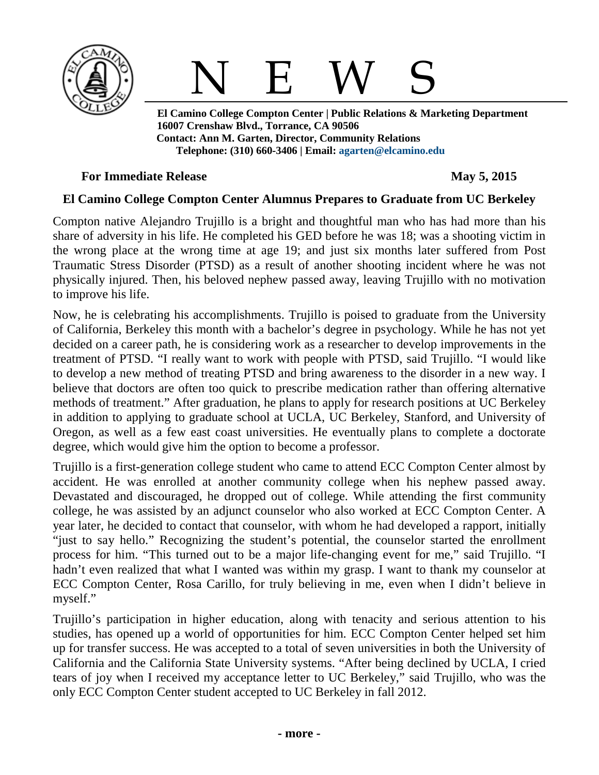



 **El Camino College Compton Center | Public Relations & Marketing Department 16007 Crenshaw Blvd., Torrance, CA 90506 Contact: Ann M. Garten, Director, Community Relations Telephone: (310) 660-3406 | Email: [agarten@elcamino.edu](mailto:agarten@elcamino.edu)** 

### **For Immediate Release May 5, 2015**

## **El Camino College Compton Center Alumnus Prepares to Graduate from UC Berkeley**

Compton native Alejandro Trujillo is a bright and thoughtful man who has had more than his share of adversity in his life. He completed his GED before he was 18; was a shooting victim in the wrong place at the wrong time at age 19; and just six months later suffered from Post Traumatic Stress Disorder (PTSD) as a result of another shooting incident where he was not physically injured. Then, his beloved nephew passed away, leaving Trujillo with no motivation to improve his life.

Now, he is celebrating his accomplishments. Trujillo is poised to graduate from the University of California, Berkeley this month with a bachelor's degree in psychology. While he has not yet decided on a career path, he is considering work as a researcher to develop improvements in the treatment of PTSD. "I really want to work with people with PTSD, said Trujillo. "I would like to develop a new method of treating PTSD and bring awareness to the disorder in a new way. I believe that doctors are often too quick to prescribe medication rather than offering alternative methods of treatment." After graduation, he plans to apply for research positions at UC Berkeley in addition to applying to graduate school at UCLA, UC Berkeley, Stanford, and University of Oregon, as well as a few east coast universities. He eventually plans to complete a doctorate degree, which would give him the option to become a professor.

Trujillo is a first-generation college student who came to attend ECC Compton Center almost by accident. He was enrolled at another community college when his nephew passed away. Devastated and discouraged, he dropped out of college. While attending the first community college, he was assisted by an adjunct counselor who also worked at ECC Compton Center. A year later, he decided to contact that counselor, with whom he had developed a rapport, initially "just to say hello." Recognizing the student's potential, the counselor started the enrollment process for him. "This turned out to be a major life-changing event for me," said Trujillo. "I hadn't even realized that what I wanted was within my grasp. I want to thank my counselor at ECC Compton Center, Rosa Carillo, for truly believing in me, even when I didn't believe in myself."

Trujillo's participation in higher education, along with tenacity and serious attention to his studies, has opened up a world of opportunities for him. ECC Compton Center helped set him up for transfer success. He was accepted to a total of seven universities in both the University of California and the California State University systems. "After being declined by UCLA, I cried tears of joy when I received my acceptance letter to UC Berkeley," said Trujillo, who was the only ECC Compton Center student accepted to UC Berkeley in fall 2012.